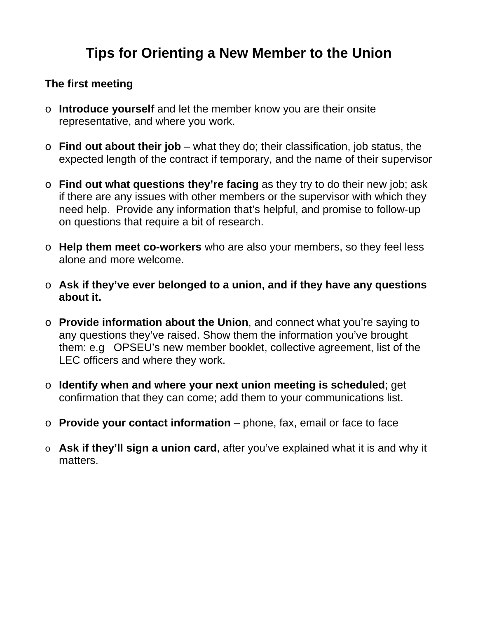## **Tips for Orienting a New Member to the Union**

## **The first meeting**

- o **Introduce yourself** and let the member know you are their onsite representative, and where you work.
- o **Find out about their job**  what they do; their classification, job status, the expected length of the contract if temporary, and the name of their supervisor
- o **Find out what questions they're facing** as they try to do their new job; ask if there are any issues with other members or the supervisor with which they need help. Provide any information that's helpful, and promise to follow-up on questions that require a bit of research.
- o **Help them meet co-workers** who are also your members, so they feel less alone and more welcome.
- o **Ask if they've ever belonged to a union, and if they have any questions about it.**
- o **Provide information about the Union**, and connect what you're saying to any questions they've raised. Show them the information you've brought them: e.g OPSEU's new member booklet, collective agreement, list of the LEC officers and where they work.
- o **Identify when and where your next union meeting is scheduled**; get confirmation that they can come; add them to your communications list.
- o **Provide your contact information**  phone, fax, email or face to face
- o **Ask if they'll sign a union card**, after you've explained what it is and why it matters.